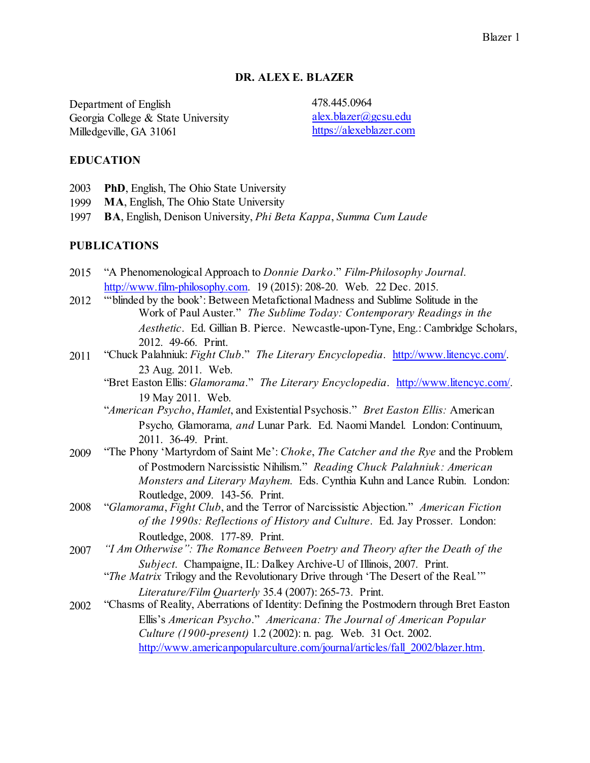### **DR. ALEX E. BLAZER**

Department of English 478.445.0964<br>Georgia College & State University alex.blazer@gcsu.edu Georgia College & State University [alex.blazer@gcsu.edu](mailto:alex.blazer@gcsu.edu)<br>
Milledgeville GA 31061 https://alexeblazer.com Milledgeville, GA 31061

### **EDUCATION**

- 2003 **PhD**, English, The Ohio State University
- 1999 **MA**, English, The Ohio State University
- 1997 **BA**, English, Denison University, *Phi Beta Kappa*, *Summa Cum Laude*

#### **PUBLICATIONS**

- 2015 "A Phenomenological Approach to *Donnie Darko*." *Film-Philosophy Journal*. <http://www.film-philosophy.com>. 19 (2015): 208-20. Web. 22 Dec. 2015.
- 2012 "'blinded by the book': Between Metafictional Madness and Sublime Solitude in the Work of Paul Auster." *The Sublime Today: Contemporary Readings in the Aesthetic*. Ed. Gillian B. Pierce. Newcastle-upon-Tyne, Eng.: Cambridge Scholars, 2012. 49-66. Print.
- 2011 "Chuck Palahniuk: *Fight Club*." *The Literary Encyclopedia*. [http://www.litencyc.com/](<http://www.litencyc.com/). 23 Aug. 2011. Web.
	- "Bret Easton Ellis: *Glamorama*." *The Literary Encyclopedia*. [http://www.litencyc.com/](<http://www.litencyc.com/). 19 May 2011. Web.
	- "*American Psycho*, *Hamlet*, and Existential Psychosis." *Bret Easton Ellis:* American Psycho*,* Glamorama*, and* Lunar Park. Ed. Naomi Mandel. London: Continuum, 2011. 36-49. Print.
- 2009 "The Phony 'Martyrdom of Saint Me': *Choke*, *The Catcher and the Rye* and the Problem of Postmodern Narcissistic Nihilism." *Reading Chuck Palahniuk: American Monsters and Literary Mayhem*. Eds. Cynthia Kuhn and Lance Rubin. London: Routledge, 2009. 143-56. Print.
- 2008 "*Glamorama*, *Fight Club*, and the Terror of Narcissistic Abjection." *American Fiction of the 1990s: Reflections of History and Culture*. Ed. Jay Prosser. London: Routledge, 2008. 177-89. Print.
- 2007 *"I Am Otherwise": The Romance Between Poetry and Theory after the Death of the Subject*. Champaigne, IL: Dalkey Archive-U of Illinois, 2007. Print.
	- "*The Matrix* Trilogy and the Revolutionary Drive through 'The Desert of the Real.'" *Literature/Film Quarterly* 35.4 (2007): 265-73. Print.
- 2002 "Chasms of Reality, Aberrations of Identity: Defining the Postmodern through Bret Easton Ellis's *American Psycho*." *Americana: The Journal of American Popular Culture (1900-present)* 1.2 (2002): n. pag. Web. 31 Oct. 2002. [http://www.americanpopularculture.com/journal/articles/fall\\_2002/blazer.htm](http://www.americanpopularculture.com/journal/articles/fall_2002/blazer.htm).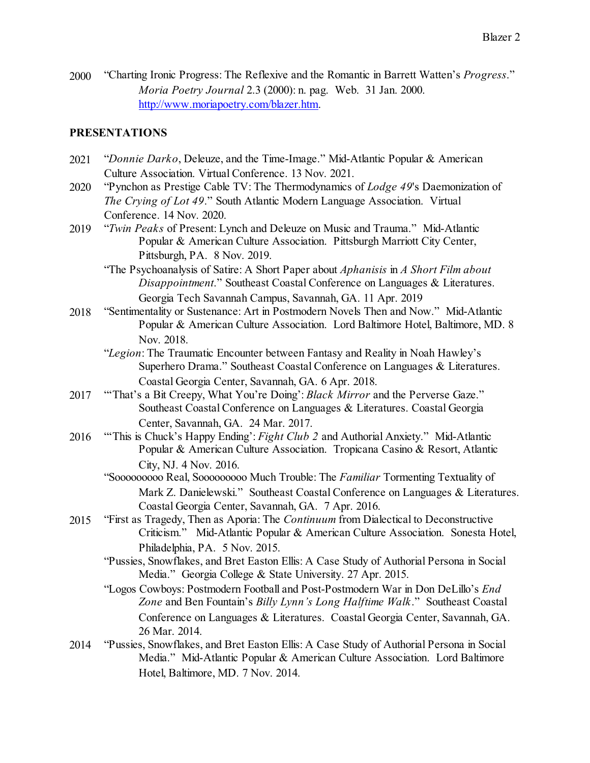2000 "Charting Ironic Progress: The Reflexive and the Romantic in Barrett Watten's *Progress*." *Moria Poetry Journal* 2.3 (2000): n. pag. Web. 31 Jan. 2000. <http://www.moriapoetry.com/blazer.htm>.

#### **PRESENTATIONS**

- 2021 "*Donnie Darko*, Deleuze, and the Time-Image." Mid-Atlantic Popular & American Culture Association. Virtual Conference. 13 Nov. 2021.
- 2020 "Pynchon as Prestige Cable TV: The Thermodynamics of *Lodge 49*'s Daemonization of *The Crying of Lot 49*." South Atlantic Modern Language Association. Virtual Conference. 14 Nov. 2020.
- 2019 "*Twin Peaks* of Present: Lynch and Deleuze on Music and Trauma." Mid-Atlantic Popular & American Culture Association. Pittsburgh Marriott City Center, Pittsburgh, PA. 8 Nov. 2019.
	- "The Psychoanalysis of Satire: A Short Paper about *Aphanisis* in *A Short Film about Disappointment*." Southeast Coastal Conference on Languages & Literatures. Georgia Tech Savannah Campus, Savannah, GA. 11 Apr. 2019
- 2018 "Sentimentality or Sustenance: Art in Postmodern Novels Then and Now." Mid-Atlantic Popular & American Culture Association. Lord Baltimore Hotel, Baltimore, MD. 8 Nov. 2018.
	- "*Legion*: The Traumatic Encounter between Fantasy and Reality in Noah Hawley's Superhero Drama." Southeast Coastal Conference on Languages & Literatures. Coastal Georgia Center, Savannah, GA. 6 Apr. 2018.
- 2017 "'That's a Bit Creepy, What You're Doing': *Black Mirror* and the Perverse Gaze." Southeast Coastal Conference on Languages & Literatures. Coastal Georgia Center, Savannah, GA. 24 Mar. 2017.
- 2016 "'This is Chuck's Happy Ending': *Fight Club 2* and Authorial Anxiety." Mid-Atlantic Popular & American Culture Association. Tropicana Casino & Resort, Atlantic City, NJ. 4 Nov. 2016.
	- "Sooooooooo Real, Sooooooooo Much Trouble: The *Familiar* Tormenting Textuality of Mark Z. Danielewski." Southeast Coastal Conference on Languages & Literatures. Coastal Georgia Center, Savannah, GA. 7 Apr. 2016.
- 2015 "First as Tragedy, Then as Aporia: The *Continuum* from Dialectical to Deconstructive Criticism." Mid-Atlantic Popular & American Culture Association. Sonesta Hotel, Philadelphia, PA. 5 Nov. 2015.
	- "Pussies, Snowflakes, and Bret Easton Ellis: A Case Study of Authorial Persona in Social Media." Georgia College & State University. 27 Apr. 2015.
	- "Logos Cowboys: Postmodern Football and Post-Postmodern War in Don DeLillo's *End Zone* and Ben Fountain's *Billy Lynn's Long Halftime Walk*." Southeast Coastal Conference on Languages & Literatures. Coastal Georgia Center, Savannah, GA. 26 Mar. 2014.
- 2014 "Pussies, Snowflakes, and Bret Easton Ellis: A Case Study of Authorial Persona in Social Media." Mid-Atlantic Popular & American Culture Association. Lord Baltimore Hotel, Baltimore, MD. 7 Nov. 2014.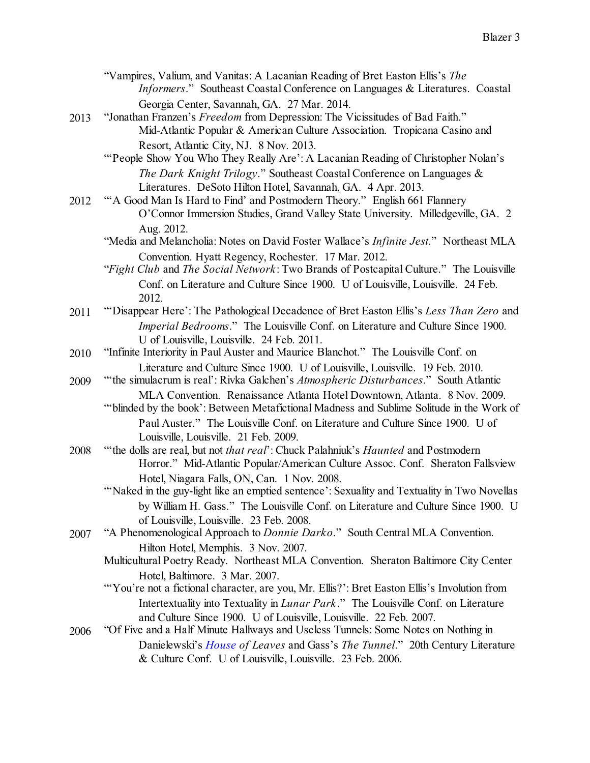- "Vampires, Valium, and Vanitas: A Lacanian Reading of Bret Easton Ellis's *The Informers*." Southeast Coastal Conference on Languages & Literatures. Coastal Georgia Center, Savannah, GA. 27 Mar. 2014.
- 2013 "Jonathan Franzen's *Freedom* from Depression: The Vicissitudes of Bad Faith." Mid-Atlantic Popular & American Culture Association. Tropicana Casino and Resort, Atlantic City, NJ. 8 Nov. 2013.
	- "People Show You Who They Really Are': A Lacanian Reading of Christopher Nolan's *The Dark Knight Trilogy*." Southeast Coastal Conference on Languages & Literatures. DeSoto Hilton Hotel, Savannah, GA. 4 Apr. 2013.
- 2012 "'A Good Man Is Hard to Find' and Postmodern Theory." English 661 Flannery O'Connor Immersion Studies, Grand Valley State University. Milledgeville, GA. 2 Aug. 2012.
	- "Media and Melancholia: Notes on David Foster Wallace's *Infinite Jest*." Northeast MLA Convention. Hyatt Regency, Rochester. 17 Mar. 2012.
	- "*Fight Club* and *The Social Network*: Two Brands of Postcapital Culture." The Louisville Conf. on Literature and Culture Since 1900. U of Louisville, Louisville. 24 Feb. 2012.
- 2011 "'Disappear Here': The Pathological Decadence of Bret Easton Ellis's *Less Than Zero* and *Imperial Bedrooms*." The Louisville Conf. on Literature and Culture Since 1900. U of Louisville, Louisville. 24 Feb. 2011.
- 2010 "Infinite Interiority in Paul Auster and Maurice Blanchot." The Louisville Conf. on Literature and Culture Since 1900. U of Louisville, Louisville. 19 Feb. 2010.
- 2009 "'the simulacrum is real': Rivka Galchen's *Atmospheric Disturbances*." South Atlantic MLA Convention. Renaissance Atlanta Hotel Downtown, Atlanta. 8 Nov. 2009.
	- "'blinded by the book': Between Metafictional Madness and Sublime Solitude in the Work of Paul Auster." The Louisville Conf. on Literature and Culture Since 1900. U of Louisville, Louisville. 21 Feb. 2009.
- 2008 "'the dolls are real, but not *that real*': Chuck Palahniuk's *Haunted* and Postmodern Horror." Mid-Atlantic Popular/American Culture Assoc. Conf. Sheraton Fallsview Hotel, Niagara Falls, ON, Can. 1 Nov. 2008.
	- "Naked in the guy-light like an emptied sentence': Sexuality and Textuality in Two Novellas by William H. Gass." The Louisville Conf. on Literature and Culture Since 1900. U of Louisville, Louisville. 23 Feb. 2008.
- 2007 "A Phenomenological Approach to *Donnie Darko*." South Central MLA Convention. Hilton Hotel, Memphis. 3 Nov. 2007.
	- Multicultural Poetry Ready. Northeast MLA Convention. Sheraton Baltimore City Center Hotel, Baltimore. 3 Mar. 2007.
	- "'You're not a fictional character, are you, Mr. Ellis?': Bret Easton Ellis's Involution from Intertextuality into Textuality in *Lunar Park*." The Louisville Conf. on Literature and Culture Since 1900. U of Louisville, Louisville. 22 Feb. 2007.
- 2006 "Of Five and a Half Minute Hallways and Useless Tunnels: Some Notes on Nothing in Danielewski's *House of Leaves* and Gass's *The Tunnel*." 20th Century Literature & Culture Conf. U of Louisville, Louisville. 23 Feb. 2006.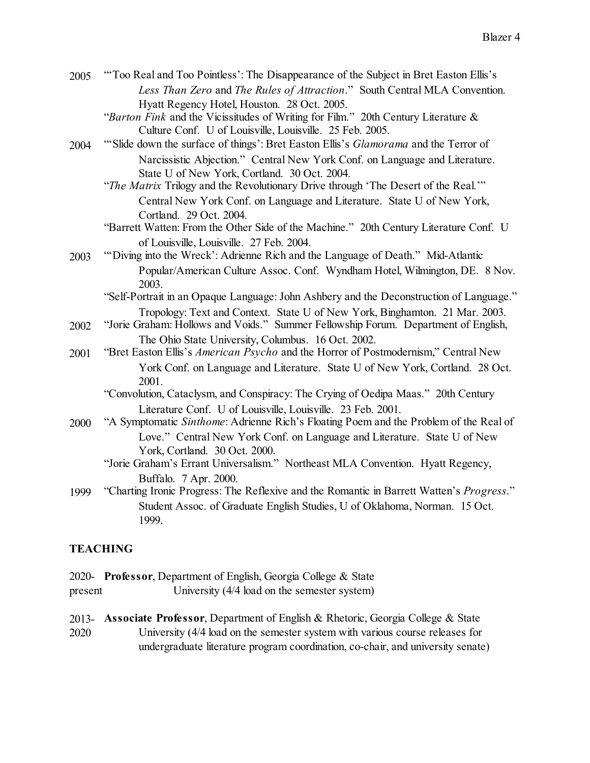| 2005 | "Too Real and Too Pointless': The Disappearance of the Subject in Bret Easton Ellis's |
|------|---------------------------------------------------------------------------------------|
|      | Less Than Zero and The Rules of Attraction." South Central MLA Convention.            |
|      | Hyatt Regency Hotel, Houston. 28 Oct. 2005.                                           |

"*Barton Fink* and the Vicissitudes of Writing for Film." 20th Century Literature & Culture Conf. U of Louisville, Louisville. 25 Feb. 2005.

- 2004 "'Slide down the surface of things': Bret Easton Ellis's *Glamorama* and the Terror of Narcissistic Abjection." Central New York Conf. on Language and Literature. State U of New York, Cortland. 30 Oct. 2004.
	- "*The Matrix* Trilogy and the Revolutionary Drive through 'The Desert of the Real.'" Central New York Conf. on Language and Literature. State U of New York, Cortland. 29 Oct. 2004.
	- "Barrett Watten: From the Other Side of the Machine." 20th Century Literature Conf. U of Louisville, Louisville. 27 Feb. 2004.
- 2003 "'Diving into the Wreck': Adrienne Rich and the Language of Death." Mid-Atlantic Popular/American Culture Assoc. Conf. Wyndham Hotel, Wilmington, DE. 8 Nov. 2003.

"Self-Portrait in an Opaque Language:John Ashbery and the Deconstruction of Language." Tropology: Text and Context. State U of New York, Binghamton. 21 Mar. 2003.

- 2002 "Jorie Graham: Hollows and Voids." Summer Fellowship Forum. Department of English, The Ohio State University, Columbus. 16 Oct. 2002.
- 2001 "Bret Easton Ellis's *American Psycho* and the Horror of Postmodernism," Central New York Conf. on Language and Literature. State U of New York, Cortland. 28 Oct. 2001.
	- "Convolution, Cataclysm, and Conspiracy: The Crying of Oedipa Maas." 20th Century Literature Conf. U of Louisville, Louisville. 23 Feb. 2001.
- 2000 "A Symptomatic *Sinthome*: Adrienne Rich's Floating Poem and the Problem of the Real of Love." Central New York Conf. on Language and Literature. State U of New York, Cortland. 30 Oct. 2000.

# "Jorie Graham's Errant Universalism." Northeast MLA Convention. Hyatt Regency, Buffalo. 7 Apr. 2000.

1999 "Charting Ironic Progress: The Reflexive and the Romantic in Barrett Watten's *Progress*." Student Assoc. of Graduate English Studies, U of Oklahoma, Norman. 15 Oct. 1999.

# **TEACHING**

2020- **Professor**, Department of English, Georgia College & State present University (4/4 load on the semester system)

2013- **Associate Professor**, Department of English & Rhetoric, Georgia College & State

2020 University (4/4 load on the semester system with various course releases for undergraduate literature program coordination, co-chair, and university senate)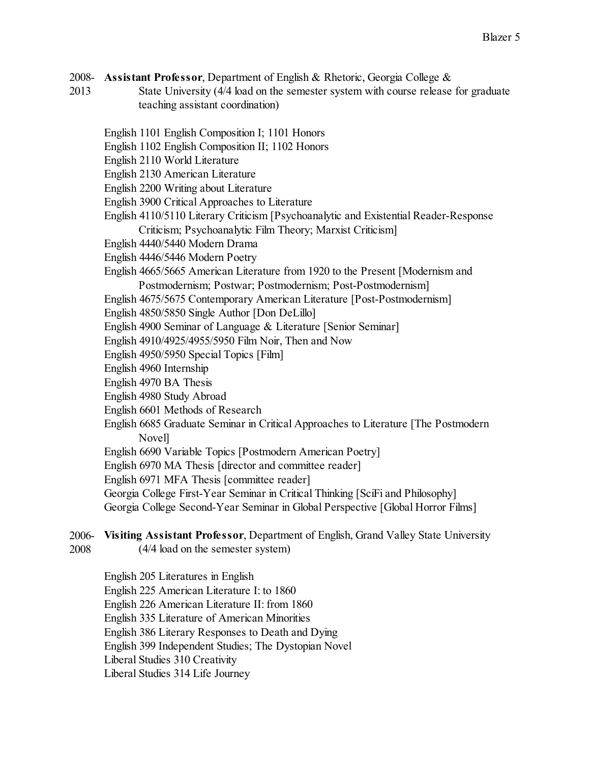- 2008- **Assistant Professor**, Department of English & Rhetoric, Georgia College &
- 2013 State University (4/4 load on the semester system with course release for graduate teaching assistant coordination)
	- English 1101 English Composition I; 1101 Honors
	- English 1102 English Composition II; 1102 Honors
	- English 2110 World Literature
	- English 2130 American Literature
	- English 2200 Writing about Literature
	- English 3900 Critical Approaches to Literature
	- English 4110/5110 Literary Criticism [Psychoanalytic and Existential Reader-Response Criticism; Psychoanalytic Film Theory; Marxist Criticism]
	- English 4440/5440 Modern Drama
	- English 4446/5446 Modern Poetry
	- English 4665/5665 American Literature from 1920 to the Present [Modernism and Postmodernism; Postwar; Postmodernism; Post-Postmodernism]
	- English 4675/5675 Contemporary American Literature [Post-Postmodernism]
	- English 4850/5850 Single Author [Don DeLillo]
	- English 4900 Seminar of Language & Literature [Senior Seminar]
	- English 4910/4925/4955/5950 Film Noir, Then and Now
	- English 4950/5950 Special Topics [Film]
	- English 4960 Internship
	- English 4970 BA Thesis
	- English 4980 Study Abroad
	- English 6601 Methods of Research
	- English 6685 Graduate Seminar in Critical Approaches to Literature [The Postmodern Novel]
	- English 6690 Variable Topics [Postmodern American Poetry]
	- English 6970 MA Thesis [director and committee reader]
	- English 6971 MFA Thesis [committee reader]
	- Georgia College First-Year Seminar in Critical Thinking [SciFi and Philosophy] Georgia College Second-Year Seminar in Global Perspective [Global Horror Films]
- 2006- **Visiting Assistant Professor**, Department of English, Grand Valley State University
- 2008 (4/4 load on the semester system)
	- English 205 Literatures in English
	- English 225 American Literature I: to 1860
	- English 226 American Literature II: from 1860
	- English 335 Literature of American Minorities
	- English 386 Literary Responses to Death and Dying
	- English 399 Independent Studies; The Dystopian Novel
	- Liberal Studies 310 Creativity
	- Liberal Studies 314 Life Journey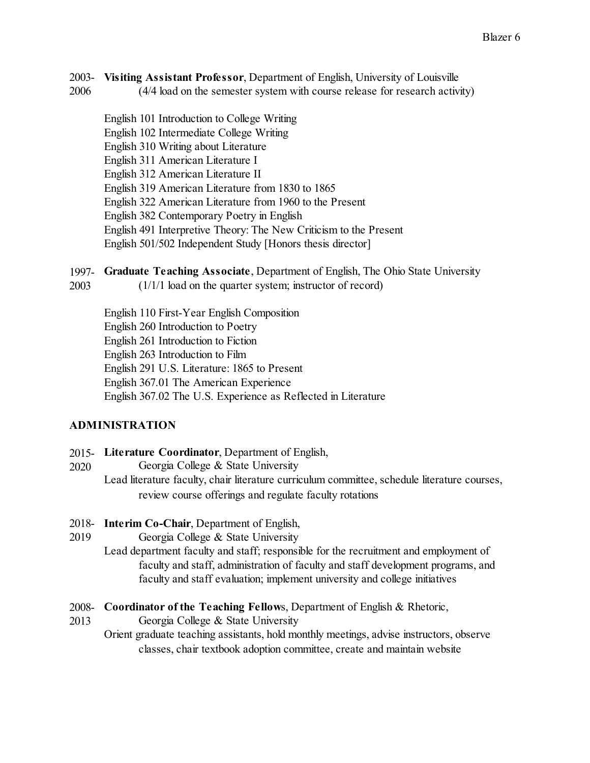- 2003- **Visiting Assistant Professor**, Department of English, University of Louisville
- 2006 (4/4 load on the semester system with course release for research activity)
	- English 101 Introduction to College Writing
	- English 102 Intermediate College Writing
	- English 310 Writing about Literature
	- English 311 American Literature I
	- English 312 American Literature II
	- English 319 American Literature from 1830 to 1865
	- English 322 American Literature from 1960 to the Present
	- English 382 Contemporary Poetry in English
	- English 491 Interpretive Theory: The New Criticism to the Present
	- English 501/502 Independent Study [Honors thesis director]
- 1997- **Graduate Teaching Associate**, Department of English, The Ohio State University
- 2003 (1/1/1 load on the quarter system; instructor of record)

English 110 First-Year English Composition English 260 Introduction to Poetry English 261 Introduction to Fiction English 263 Introduction to Film English 291 U.S. Literature: 1865 to Present English 367.01 The American Experience English 367.02 The U.S. Experience as Reflected in Literature

# **ADMINISTRATION**

- 2015- **Literature Coordinator**, Department of English,
- 2020 Georgia College & State University
	- Lead literature faculty, chair literature curriculum committee, schedule literature courses, review course offerings and regulate faculty rotations
- 2018- **Interim Co-Chair**, Department of English,
- 2019 Georgia College & State University
	- Lead department faculty and staff; responsible for the recruitment and employment of faculty and staff, administration of faculty and staff development programs, and faculty and staff evaluation; implement university and college initiatives
- 2008- **Coordinator of the Teaching Fellow**s, Department of English & Rhetoric,
- 2013 Georgia College & State University
	- Orient graduate teaching assistants, hold monthly meetings, advise instructors, observe classes, chair textbook adoption committee, create and maintain website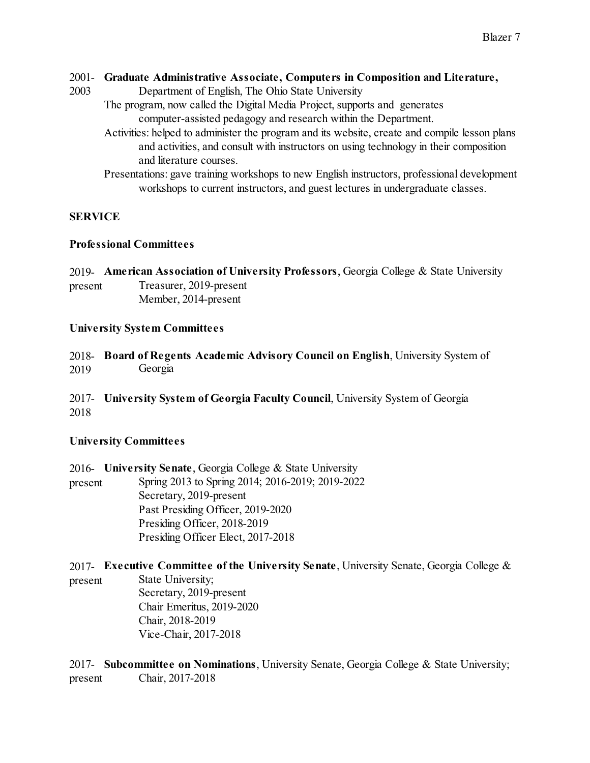### 2001- **Graduate Administrative Associate, Computers in Composition and Literature,**

2003 Department of English, The Ohio State University

The program, now called the Digital Media Project, supports and generates computer-assisted pedagogy and research within the Department.

- Activities: helped to administer the program and its website, create and compile lesson plans and activities, and consult with instructors on using technology in their composition and literature courses.
- Presentations: gave training workshops to new English instructors, professional development workshops to current instructors, and guest lectures in undergraduate classes.

# **SERVICE**

### **Professional Committees**

2019- **American Association of University Professors**, Georgia College & State University present Treasurer, 2019-present Member, 2014-present

## **University System Committees**

2018- **Board of Regents Academic Advisory Council on English**, University System of 2019 Georgia

2017- **University System of Georgia Faculty Council**, University System of Georgia 2018

## **University Committees**

2016- **University Senate**, Georgia College & State University present Spring 2013 to Spring 2014; 2016-2019; 2019-2022 Secretary, 2019-present Past Presiding Officer, 2019-2020 Presiding Officer, 2018-2019 Presiding Officer Elect, 2017-2018

2017- **Executive Committee of the University Senate**, University Senate, Georgia College &

present State University; Secretary, 2019-present Chair Emeritus, 2019-2020 Chair, 2018-2019 Vice-Chair, 2017-2018

2017- **Subcommittee on Nominations**, University Senate, Georgia College & State University; present Chair, 2017-2018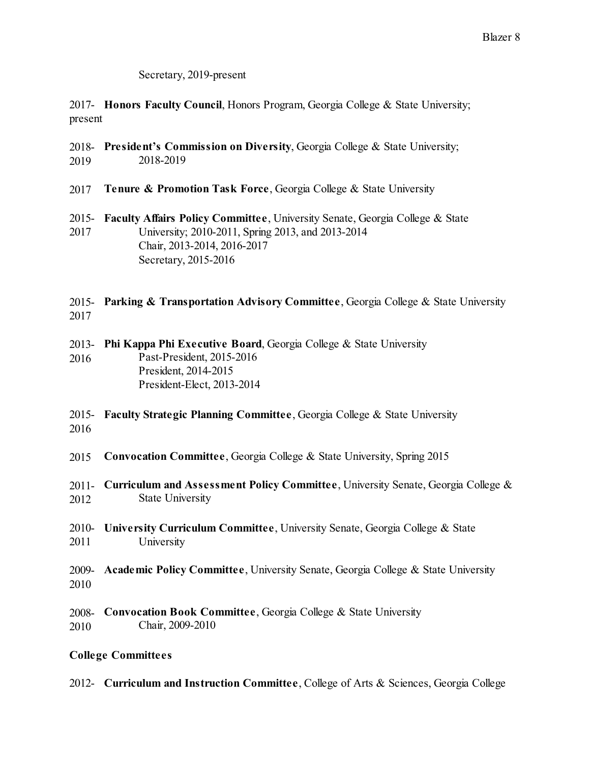### Secretary, 2019-present

2017- **Honors Faculty Council**, Honors Program, Georgia College & State University; present

- 2018- **President's Commission on Diversity**, Georgia College & State University; 2019 2018-2019
- 2017 **Tenure & Promotion Task Force**, Georgia College & State University
- 2015- **Faculty Affairs Policy Committee**, University Senate, Georgia College & State 2017 University; 2010-2011, Spring 2013, and 2013-2014 Chair, 2013-2014, 2016-2017 Secretary, 2015-2016

2015- **Parking & Transportation Advisory Committee**, Georgia College & State University 2017

2013- **Phi Kappa Phi Executive Board**, Georgia College & State University 2016 Past-President, 2015-2016 President, 2014-2015 President-Elect, 2013-2014

2015- **Faculty Strategic Planning Committee**, Georgia College & State University 2016

- 2015 **Convocation Committee**, Georgia College & State University, Spring 2015
- 2011- **Curriculum and Assessment Policy Committee**, University Senate, Georgia College & 2012 State University
- 2010- **University Curriculum Committee**, University Senate, Georgia College & State 2011 University
- 2009- **Academic Policy Committee**, University Senate, Georgia College & State University 2010
- 2008- **Convocation Book Committee**, Georgia College & State University 2010 Chair, 2009-2010

## **College Committees**

2012- **Curriculum and Instruction Committee**, College of Arts & Sciences, Georgia College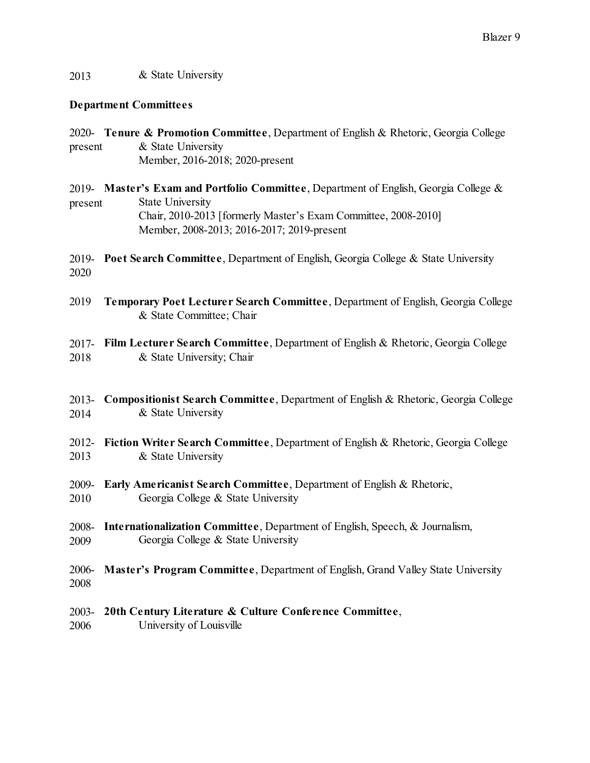## 2013 & State University

### **Department Committees**

2020- **Tenure & Promotion Committee**, Department of English & Rhetoric, Georgia College present & State University Member, 2016-2018; 2020-present

2019- **Master's Exam and Portfolio Committee**, Department of English, Georgia College & present State University Chair, 2010-2013 [formerly Master's Exam Committee, 2008-2010] Member, 2008-2013; 2016-2017; 2019-present

2019- **Poet Search Committee**, Department of English, Georgia College & State University 2020

2019 **Temporary Poet Lecturer Search Committee**, Department of English, Georgia College & State Committee; Chair

2017- **Film Lecturer Search Committee**, Department of English & Rhetoric, Georgia College 2018 & State University; Chair

- 2013- **Compositionist Search Committee**, Department of English & Rhetoric, Georgia College 2014 & State University
- 2012- **Fiction Writer Search Committee**, Department of English & Rhetoric, Georgia College 2013 & State University
- 2009- **Early Americanist Search Committee**, Department of English & Rhetoric, 2010 Georgia College & State University
- 2008- **Internationalization Committee**, Department of English, Speech, & Journalism, 2009 Georgia College & State University
- 2006- **Master's Program Committee**, Department of English, Grand Valley State University 2008
- 2003- **20th Century Literature & Culture Conference Committee**,
- 2006 University of Louisville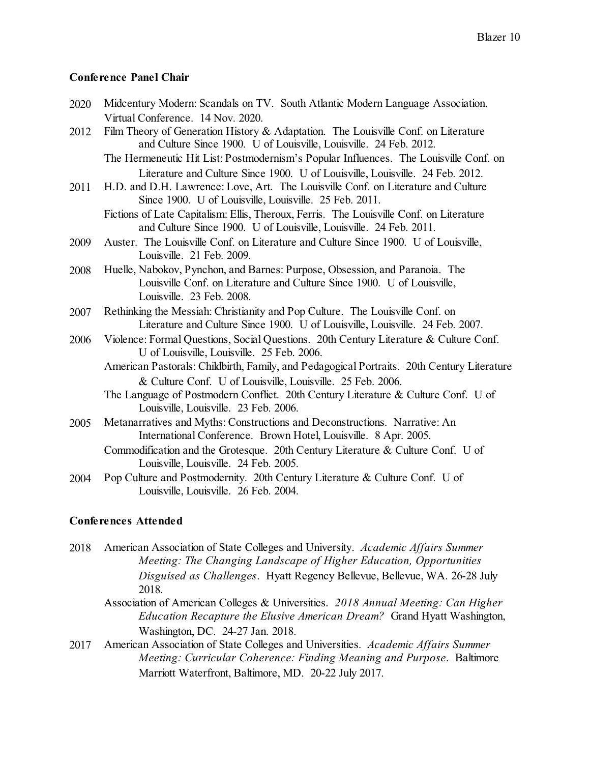### **Conference Panel Chair**

| 2020 | Midcentury Modern: Scandals on TV. South Atlantic Modern Language Association.                                                                                                                                               |
|------|------------------------------------------------------------------------------------------------------------------------------------------------------------------------------------------------------------------------------|
|      | Virtual Conference. 14 Nov. 2020.                                                                                                                                                                                            |
| 2012 | Film Theory of Generation History & Adaptation. The Louisville Conf. on Literature<br>and Culture Since 1900. U of Louisville, Louisville. 24 Feb. 2012.                                                                     |
|      | The Hermeneutic Hit List: Postmodernism's Popular Influences. The Louisville Conf. on                                                                                                                                        |
| 2011 | Literature and Culture Since 1900. U of Louisville, Louisville. 24 Feb. 2012.<br>H.D. and D.H. Lawrence: Love, Art. The Louisville Conf. on Literature and Culture<br>Since 1900. U of Louisville, Louisville. 25 Feb. 2011. |
|      | Fictions of Late Capitalism: Ellis, Theroux, Ferris. The Louisville Conf. on Literature<br>and Culture Since 1900. U of Louisville, Louisville. 24 Feb. 2011.                                                                |
| 2009 | Auster. The Louisville Conf. on Literature and Culture Since 1900. U of Louisville,<br>Louisville. 21 Feb. 2009.                                                                                                             |
| 2008 | Huelle, Nabokov, Pynchon, and Barnes: Purpose, Obsession, and Paranoia. The                                                                                                                                                  |
|      | Louisville Conf. on Literature and Culture Since 1900. U of Louisville,                                                                                                                                                      |
|      | Louisville. 23 Feb. 2008.                                                                                                                                                                                                    |
| 2007 | Rethinking the Messiah: Christianity and Pop Culture. The Louisville Conf. on                                                                                                                                                |
|      | Literature and Culture Since 1900. U of Louisville, Louisville. 24 Feb. 2007.                                                                                                                                                |
| 2006 | Violence: Formal Questions, Social Questions. 20th Century Literature & Culture Conf.<br>U of Louisville, Louisville. 25 Feb. 2006.                                                                                          |
|      | American Pastorals: Childbirth, Family, and Pedagogical Portraits. 20th Century Literature                                                                                                                                   |
|      | & Culture Conf. U of Louisville, Louisville. 25 Feb. 2006.                                                                                                                                                                   |
|      | The Language of Postmodern Conflict. 20th Century Literature & Culture Conf. U of<br>Louisville, Louisville. 23 Feb. 2006.                                                                                                   |
| 2005 | Metanarratives and Myths: Constructions and Deconstructions. Narrative: An<br>International Conference. Brown Hotel, Louisville. 8 Apr. 2005.                                                                                |
|      | Commodification and the Grotesque. 20th Century Literature & Culture Conf. U of<br>Louisville, Louisville. 24 Feb. 2005.                                                                                                     |
| 2004 | Pop Culture and Postmodernity. 20th Century Literature & Culture Conf. U of<br>Louisville, Louisville. 26 Feb. 2004.                                                                                                         |
|      |                                                                                                                                                                                                                              |

### **Conferences Attended**

2018 American Association of State Colleges and University. *Academic Affairs Summer Meeting: The Changing Landscape of Higher Education, Opportunities Disguised as Challenges*. Hyatt Regency Bellevue, Bellevue, WA. 26-28 July 2018.

- Association of American Colleges & Universities. *2018 Annual Meeting: Can Higher Education Recapture the Elusive American Dream?* Grand Hyatt Washington, Washington, DC. 24-27 Jan. 2018.
- 2017 American Association of State Colleges and Universities. *Academic Affairs Summer Meeting: Curricular Coherence: Finding Meaning and Purpose*. Baltimore Marriott Waterfront, Baltimore, MD. 20-22 July 2017.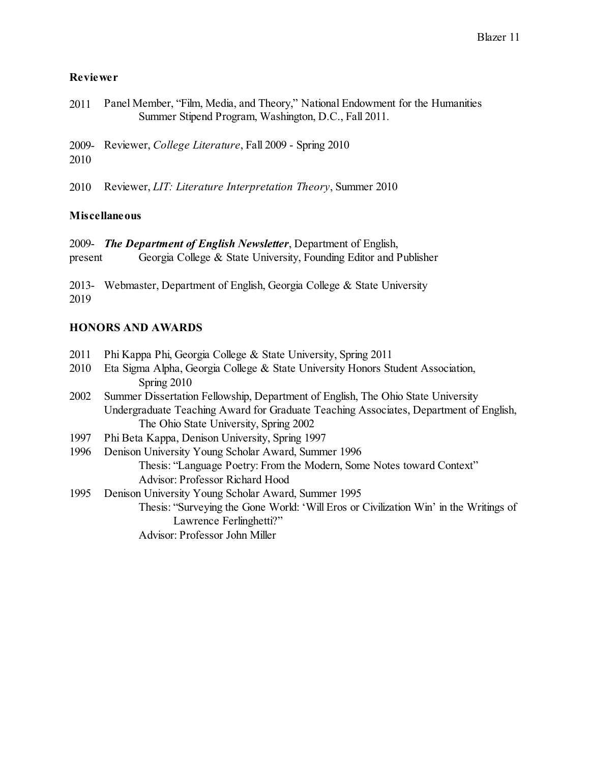## **Reviewer**

| 2011 | Panel Member, "Film, Media, and Theory," National Endowment for the Humanities |
|------|--------------------------------------------------------------------------------|
|      | Summer Stipend Program, Washington, D.C., Fall 2011.                           |

2009- Reviewer, *College Literature*, Fall 2009 - Spring 2010 2010

2010 Reviewer, *LIT: Literature Interpretation Theory*, Summer 2010

## **Miscellaneous**

2009- *The Department of English Newsletter*, Department of English,

present Georgia College & State University, Founding Editor and Publisher

2013- Webmaster, Department of English, Georgia College & State University 2019

# **HONORS AND AWARDS**

- 2011 Phi Kappa Phi, Georgia College & State University, Spring 2011
- 2010 Eta Sigma Alpha, Georgia College & State University Honors Student Association, Spring 2010
- 2002 Summer Dissertation Fellowship, Department of English, The Ohio State University Undergraduate Teaching Award for Graduate Teaching Associates, Department of English, The Ohio State University, Spring 2002
- 1997 Phi Beta Kappa, Denison University, Spring 1997
- 1996 Denison University Young Scholar Award, Summer 1996 Thesis: "Language Poetry: From the Modern, Some Notes toward Context" Advisor: Professor Richard Hood
- 1995 Denison University Young Scholar Award, Summer 1995 Thesis: "Surveying the Gone World: 'Will Eros or Civilization Win' in the Writings of

Lawrence Ferlinghetti?"

Advisor: Professor John Miller